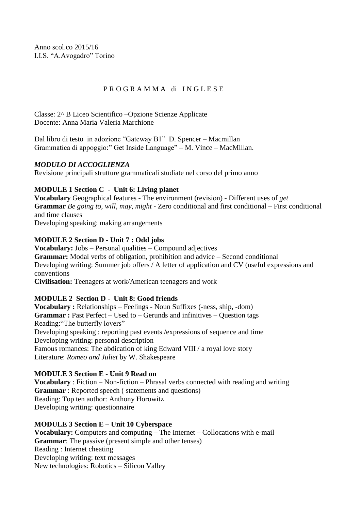Anno scol.co 2015/16 I.I.S. "A.Avogadro" Torino

## P R O G R A M M A di I N G L E S E

Classe: 2^ B Liceo Scientifico –Opzione Scienze Applicate Docente: Anna Maria Valeria Marchione

Dal libro di testo in adozione "Gateway B1" D. Spencer – Macmillan Grammatica di appoggio:" Get Inside Language" – M. Vince – MacMillan.

## *MODULO DI ACCOGLIENZA*

Revisione principali strutture grammaticali studiate nel corso del primo anno

# **MODULE 1 Section C - Unit 6: Living planet**

**Vocabulary** Geographical features - The environment (revision) - Different uses of *get* **Grammar** *Be going to*, *will*, *may*, *might* - Zero conditional and first conditional – First conditional and time clauses

Developing speaking: making arrangements

# **MODULE 2 Section D - Unit 7 : Odd jobs**

**Vocabulary:** Jobs – Personal qualities – Compound adjectives **Grammar:** Modal verbs of obligation, prohibition and advice – Second conditional Developing writing: Summer job offers / A letter of application and CV (useful expressions and conventions

**Civilisation:** Teenagers at work/American teenagers and work

## **MODULE 2 Section D - Unit 8: Good friends**

**Vocabulary :** Relationships – Feelings - Noun Suffixes (-ness, ship, -dom) **Grammar :** Past Perfect – Used to – Gerunds and infinitives – Question tags Reading:"The butterfly lovers" Developing speaking : reporting past events /expressions of sequence and time Developing writing: personal description Famous romances: The abdication of king Edward VIII / a royal love story Literature: *Romeo and Juliet* by W. Shakespeare

## **MODULE 3 Section E - Unit 9 Read on**

**Vocabulary** : Fiction – Non-fiction – Phrasal verbs connected with reading and writing **Grammar** : Reported speech ( statements and questions) Reading: Top ten author: Anthony Horowitz Developing writing: questionnaire

## **MODULE 3 Section E – Unit 10 Cyberspace**

**Vocabulary:** Computers and computing – The Internet – Collocations with e-mail **Grammar**: The passive (present simple and other tenses) Reading : Internet cheating Developing writing: text messages New technologies: Robotics – Silicon Valley